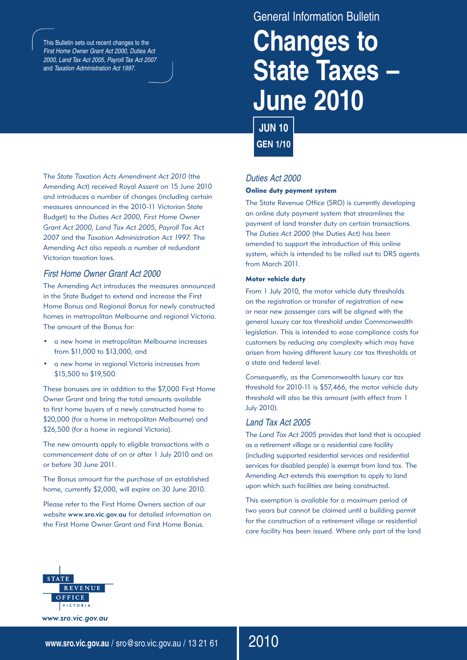This Bulletin sets out recent changes to the *First Home Owner Grant Act 2000, Duties Act 2000, Land Tax Act 2005, Payroll Tax Act 2007* and *Taxation Administration Act 1997*.

# General Information Bulletin **Changes to State Taxes – June 2010**

**JUN 10 GEN 1/10**

The *State Taxation Acts Amendment Act 2010* (the Amending Act) received Royal Assent on 15 June 2010 and introduces a number of changes (including certain measures announced in the 2010-11 Victorian State Budget) to the *Duties Act 2000*, *First Home Owner Grant Act 2000*, *Land Tax Act 2005*, *Payroll Tax Act 2007* and the *Taxation Administration Act 1997*. The Amending Act also repeals a number of redundant Victorian taxation laws.

## *First Home Owner Grant Act 2000*

The Amending Act introduces the measures announced in the State Budget to extend and increase the First Home Bonus and Regional Bonus for newly constructed homes in metropolitan Melbourne and regional Victoria. The amount of the Bonus for:

- a new home in metropolitan Melbourne increases from \$11,000 to \$13,000, and
- a new home in regional Victoria increases from \$15,500 to \$19,500.

These bonuses are in addition to the \$7,000 First Home Owner Grant and bring the total amounts available to first home buyers of a newly constructed home to \$20,000 (for a home in metropolitan Melbourne) and \$26,500 (for a home in regional Victoria).

The new amounts apply to eligible transactions with a commencement date of on or after 1 July 2010 and on or before 30 June 2011.

The Bonus amount for the purchase of an established home, currently \$2,000, will expire on 30 June 2010.

Please refer to the First Home Owners section of our website www.sro.vic.gov.au for detailed information on the First Home Owner Grant and First Home Bonus.

## *Duties Act 2000*

## Online duty payment system

The State Revenue Office (SRO) is currently developing an online duty payment system that streamlines the payment of land transfer duty on certain transactions. The *Duties Act 2000* (the Duties Act) has been amended to support the introduction of this online system, which is intended to be rolled out to DRS agents from March 2011.

### Motor vehicle duty

From 1 July 2010, the motor vehicle duty thresholds on the registration or transfer of registration of new or near new passenger cars will be aligned with the general luxury car tax threshold under Commonwealth legislation. This is intended to ease compliance costs for customers by reducing any complexity which may have arisen from having different luxury car tax thresholds at a state and federal level.

Consequently, as the Commonwealth luxury car tax threshold for 2010-11 is \$57,466, the motor vehicle duty threshold will also be this amount (with effect from 1 July 2010).

## *Land Tax Act 2005*

2010

The *Land Tax Act 2005* provides that land that is occupied as a retirement village or a residential care facility (including supported residential services and residential services for disabled people) is exempt from land tax. The Amending Act extends this exemption to apply to land upon which such facilities are being constructed.

This exemption is available for a maximum period of two years but cannot be claimed until a building permit for the construction of a retirement village or residential care facility has been issued. Where only part of the land



**www.sro.vic.gov.au** / sro@sro.vic.gov.au / 13 21 61